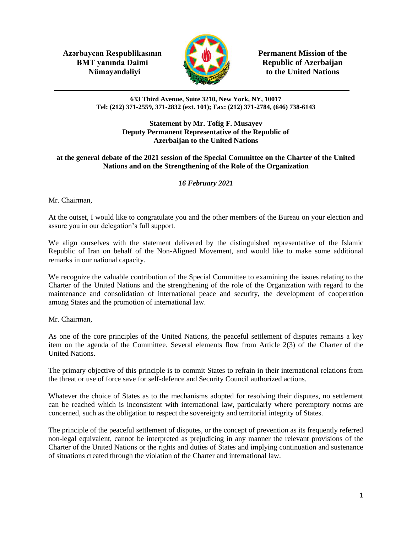**Azərbaycan Respublikasının Permanent Mission of the BMT yanında Daimi Republic of Azerbaijan** 



**Nümayəndəliyi Extract Security** to the United Nations

#### **633 Third Avenue, Suite 3210, New York, NY, 10017 Tel: (212) 371-2559, 371-2832 (ext. 101); Fax: (212) 371-2784, (646) 738-6143**

### **Statement by Mr. Tofig F. Musayev Deputy Permanent Representative of the Republic of Azerbaijan to the United Nations**

## **at the general debate of the 2021 session of the Special Committee on the Charter of the United Nations and on the Strengthening of the Role of the Organization**

# *16 February 2021*

Mr. Chairman,

At the outset, I would like to congratulate you and the other members of the Bureau on your election and assure you in our delegation's full support.

We align ourselves with the statement delivered by the distinguished representative of the Islamic Republic of Iran on behalf of the Non-Aligned Movement, and would like to make some additional remarks in our national capacity.

We recognize the valuable contribution of the Special Committee to examining the issues relating to the Charter of the United Nations and the strengthening of the role of the Organization with regard to the maintenance and consolidation of international peace and security, the development of cooperation among States and the promotion of international law.

Mr. Chairman,

As one of the core principles of the United Nations, the peaceful settlement of disputes remains a key item on the agenda of the Committee. Several elements flow from Article 2(3) of the Charter of the United Nations.

The primary objective of this principle is to commit States to refrain in their international relations from the threat or use of force save for self-defence and Security Council authorized actions.

Whatever the choice of States as to the mechanisms adopted for resolving their disputes, no settlement can be reached which is inconsistent with international law, particularly where peremptory norms are concerned, such as the obligation to respect the sovereignty and territorial integrity of States.

The principle of the peaceful settlement of disputes, or the concept of prevention as its frequently referred non-legal equivalent, cannot be interpreted as prejudicing in any manner the relevant provisions of the Charter of the United Nations or the rights and duties of States and implying continuation and sustenance of situations created through the violation of the Charter and international law.